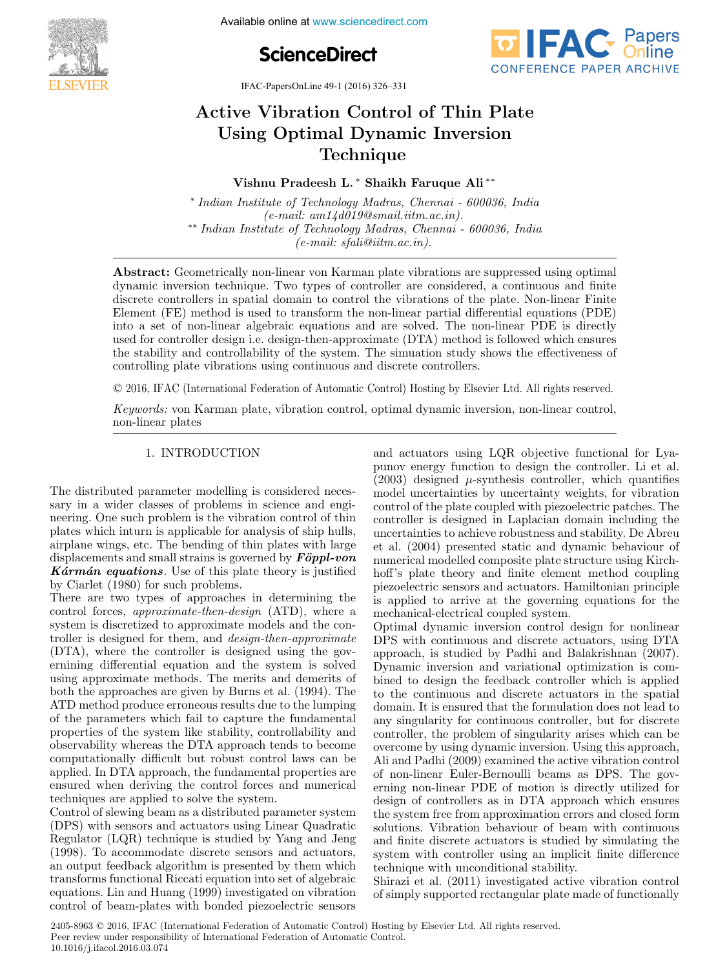**FEBRUARY 1-5, 2016. India Available online at www.sciencedirect.com 4th International Conference on Advances in Control and**





IFAC-PapersOnLine 49-1 (2016) 326–331

#### Active Vibration Control of Thin Plate Using Optimal Dynamic Inversion Technique Technique  $A = \frac{1}{2000}$  $A(t, \mathbf{X}^{\text{rel}})$  is  $A(t, \mathbf{X}^{\text{rel}})$  is  $A(t, \mathbf{X}^{\text{rel}})$ USING VIDIANUM CONTON OF THEFT R Active Vibration Control of Thin Plate Using Optimal Dynamic Inversion Technique

Vishnu Pradeesh L. ∗ Shaikh Faruque Ali ∗∗ vishnu Pradesh L. ∗ Shaikh Faruque Ali ∗∗∗<br>Vishnu Pradesh Faruque Ali ∗∗∗ Vishnu Pradeesh L. ∗ Shaikh Faruque Ali ∗∗

 $(e-mail: am14d019@small: itm.ac.in).$ \*\* Indian Institute of Technology Madras, Chennai - 600036, India ∗∗ Indian Institute of Technology Madras, Chennai - 600036, India (e-mail: sfali@iitm.ac.in). (e-mail: sfali@iitm.ac.in). ∗∗ Indian Institute of Technology Madras, Chennai - 600036, India  $\left($   $\cdots$  and  $\cdots$  sfall  $\cdots$  in  $\cdots$  in  $\cdots$  in  $\cdots$  is  $\cdots$  if  $\cdots$  if  $\cdots$  if  $\cdots$  if  $\cdots$  if  $\cdots$  if  $\cdots$  if  $\cdots$  if  $\cdots$  if  $\cdots$  if  $\cdots$  if  $\cdots$  if  $\cdots$  if  $\cdots$  if  $\cdots$  if  $\cdots$  if  $\cdots$  if  $\cdots$ ∗ Indian Institute of Technology Madras, Chennai - 600036, India ∗ Indian Institute of Technology Madras, Chennai - 600036, India

(e): sfaling in the mail: sfalling in the mail: sfalling in the mail: sfalling in the mail: sfalling in the mail: sfalling in the mail: sfalling in the mail: sfalling in the mail: sfalling in the mail: sfalling in the mail

dynamic inversion technique. Two types of controller are considered, a continuous and finite discrete controllers in spatial domain to control the vibrations of the plate. Non-linear Finite Element  $(FE)$  method is used to transform the non-linear partial differential equations  $(PDE)$ into a set of non-linear algebraic equations and are solved. The non-linear PDE is directly used for controller design i.e. design-then-approximate (DTA) method is followed which ensures the stability and controllability of the system. The simuation study shows the effectiveness of controlling plate vibrations using continuous and discrete controllers. controlling plate vibrations using continuous and discrete controllers. Abstract: Geometrically non-linear von Karman plate vibrations are suppressed using optimal Abstract: Geometrically non-linear von Karman plate vibrations are suppressed using optimal

© 2016, IFAC (International Federation of Automatic Control) Hosting by Elsevier Ltd. All rights reserved.  $\sim$  2010, if the (informational polaritation of reasonable control, recoving  $\omega_j$  2000 for linear control, © 2016 IFAC (International Federation of Automatic Control) Hosting by Else

Keywords: von Karman plate, vibration control, optimal dynamic inversion, non-linear control, non-linear plates non-linear plates Reywords: von Karman plate, vibration control, optimal dynamic inversion, non-linear control,

#### 1. INTRODUCTION 1. INTRODUCTION 1. INTRODUCTION 1. INTRODUCTION

The distributed parameter modelling is considered necessary in a wider classes of problems in science and engineering. One such problem is the vibration control of thin plates which in turn is applicable for analysis of ship hulls, airplane wings, etc. The bending of thin plates with large displacements and small strains is governed by  $\vec{F\sigma}ppl$ -von **K**armán equations. Use of this plate theory is justified by Ciarlet  $(1980)$  for such problems. I he distributed parameter modelling is considered neces-

by Clarlet (1980) for such problems.<br>There are two types of approaches in determining the control forces, approximate-then-design (ATD), where a system is discretized to approximate models and the controller is designed for them, and *design-then-approximate*  $(\nabla \mathbf{F} \mathbf{A})$  $(DTA)$ , where the controller is designed using the governining differential equation and the system is solved using approximate methods. The merits and demerits of  $h_{\text{tot}}$ both the approaches are given by Burns et al.  $(1994)$ . The ATD method produce erroneous results due to the lumping of the parameters which fail to capture the fundamental properties of the system like stability, controllability and observability whereas the DTA approach tends to become computationally difficult but robust control laws can be<br>applied. In DTA conservability whereas the DTA approach tends to become<br>computationally difficult but robust control laws can be<br>applied. In DTA approach, the fundamental properties are ensured when deriving the control forces and numerical techniques are applied to solve the system. There are two types of approaches in determining the The distributed parameter modelling is considered necess—model uncertainties by uncertainty weights, for vibration parameter modelling is considered necessary in a wider classes of problems in science and engi-<br>control of

tecninques are applied to solve the system.<br>Control of slewing beam as a distributed parameter system (DPS) with sensors and actuators using Linear Quadratic  $R_{\text{B}}$ Regulator (LQR) technique is studied by Yang and Jeng<br>(1998). To accommodate discrete sensors and actuators, and actuators, and actuators, and actuators, and actuators, and actuators, and actuators, and actuators, and act (1998). To accommodate discrete sensors and actuators, an output feedback algorithm is presented by them which an output feedback algorithm is presented by them which (1998). To accommodate discrete sensors and actuators, an output feedback algorithm is presented by them which transforms functional Riccati equation into set of algebraic equations. Lin and Huang (1999) investigated on vibration control of beam-plates with bonded piezoelectric sensors control of beam-plates with bonded piezoelectric sensors Control of slewing beam as a distributed parameter system and actuators using LQR objective functional for Lyapunov energy function to design the controller. Li et al.  $(2003)$  designed  $\mu$ -synthesis controller, which quantifies model uncertainties by uncertainty weights, for vibration control of the plate coupled with piezoelectric patches. The control of the plate coupled with plezoelectric patches. The<br>controller is designed in Laplacian domain including the controner is designed in Eaplacian domain including the<br>uncertainties to achieve robustness and stability. De Abreu et al.  $(2004)$  presented static and dynamic behaviour of numerical modelled composite plate structure using Kirchhoff's plate theory and finite element method coupling piezoelectric sensors and actuators. Hamiltonian principle plezoelectric sensors and actuators. Hamiltonian principle<br>is applied to arrive at the governing equations for the mechanical-electrical coupled system. and actuators using  $LQR$  objective functional for Lyauncertainties to achieve robustness and stability. De Abreu

mechanical-electrical coupled system.<br>Optimal dynamic inversion control design for nonlinear  $\text{DPS with continuous and discrete actuators, using DTA}$ approach, is studied by Padhi and Balakrishnan (2007). Dynamic inversion and variational optimization is combined to design the feedback controller which is applied to the continuous and discrete actuators in the spatial domain. It is ensured that the formulation does not lead to any singularity for continuous controller, but for discrete any singularity for continuous controller, but for discrete<br>controller, the problem of singularity arises which can be overcome by using dynamic inversion. Using this approach, overcome by using dynamic inversion. Using this approach,<br>Ali and Padhi (2009) examined the active vibration control of non-linear Euler-Bernoulli beams as DPS. The governing non-linear PDE of motion is directly utilized for erning non-linear PDE of motion is directly utilized for<br>design of controllers as in DTA approach which ensures the system free from approximation errors and closed form solutions. Vibration behaviour of beam with continuous and finite discrete actuators is studied by simulating the  $\frac{1}{\sqrt{2}}$ system with controller using an implicit finite difference technique with unconditional stability.<br>
Shirazi et al. (2011) investigated active vibration control of the control of the control of the control of the control of the control of the control of the control of the control o DPS with continuous and discrete actuators, using DTA Optimal dynamic inversion control design for nonlinear solutions. Vibration behaviour of beam with continuous<br>and finite discrete actuators is studied by simulating the<br>system with controller using an implicit finite difference

ecomique with unconditional stability.<br>Shirazi et al. (2011) investigated active vibration control of simply supported rectangular plate made of functionally of simply supported rectangular plate made of functionally Shirazi et al. (2011) investigated active vibration control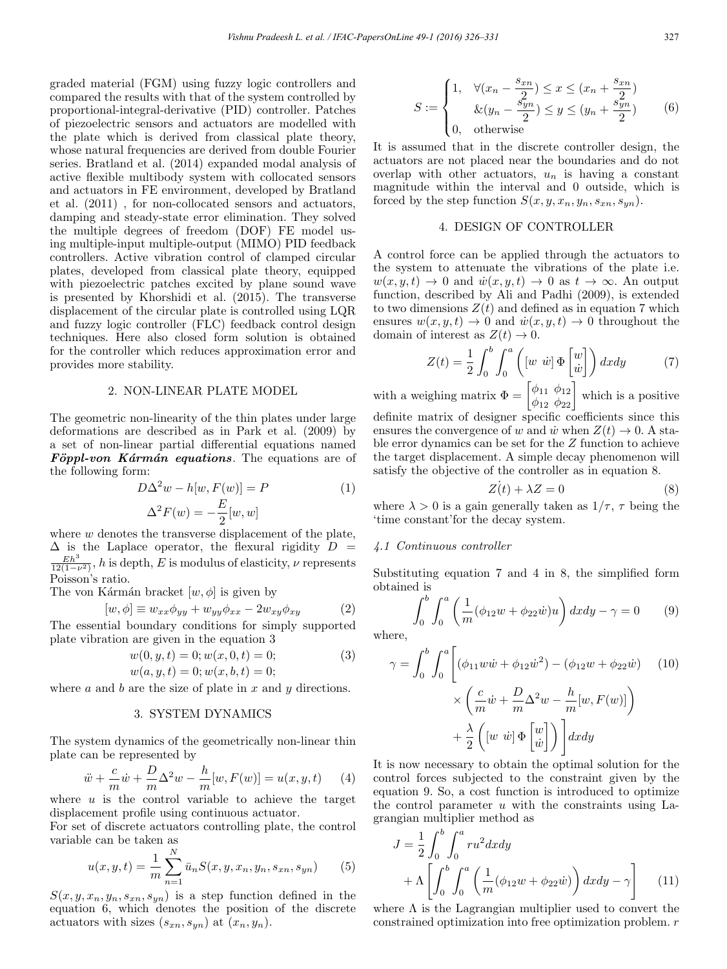graded material (FGM) using fuzzy logic controllers and compared the results with that of the system controlled by proportional-integral-derivative (PID) controller. Patches of piezoelectric sensors and actuators are modelled with the plate which is derived from classical plate theory, whose natural frequencies are derived from double Fourier series. Bratland et al. (2014) expanded modal analysis of active flexible multibody system with collocated sensors and actuators in FE environment, developed by Bratland et al. (2011) , for non-collocated sensors and actuators, damping and steady-state error elimination. They solved the multiple degrees of freedom (DOF) FE model using multiple-input multiple-output (MIMO) PID feedback controllers. Active vibration control of clamped circular plates, developed from classical plate theory, equipped with piezoelectric patches excited by plane sound wave is presented by Khorshidi et al. (2015). The transverse displacement of the circular plate is controlled using LQR and fuzzy logic controller (FLC) feedback control design techniques. Here also closed form solution is obtained for the controller which reduces approximation error and provides more stability.

# 2. NON-LINEAR PLATE MODEL

The geometric non-linearity of the thin plates under large deformations are described as in Park et al. (2009) by a set of non-linear partial differential equations named  $F\ddot{o}ppl$ -von Kármán equations. The equations are of the following form:

$$
D\Delta^2 w - h[w, F(w)] = P
$$
  

$$
\Delta^2 F(w) = -\frac{E}{2}[w, w]
$$
 (1)

where w denotes the transverse displacement of the plate,  $\Delta$  is the Laplace operator, the flexural rigidity  $D =$  $\frac{Eh^3}{12(1-\nu^2)}$ , h is depth, E is modulus of elasticity,  $\nu$  represents Poisson's ratio.

The von Kármán bracket  $[w, \phi]$  is given by

$$
[w, \phi] \equiv w_{xx}\phi_{yy} + w_{yy}\phi_{xx} - 2w_{xy}\phi_{xy}
$$
 (2)

The essential boundary conditions for simply supported plate vibration are given in the equation 3

$$
w(0, y, t) = 0; w(x, 0, t) = 0;
$$
  
\n
$$
w(a, u, t) = 0; w(x, b, t) = 0;
$$
\n(3)

$$
\omega(\omega, y, v) = 0, \omega(\omega, v, v) = 0,
$$

where  $a$  and  $b$  are the size of plate in  $x$  and  $y$  directions.

## 3. SYSTEM DYNAMICS

The system dynamics of the geometrically non-linear thin plate can be represented by

$$
\ddot{w} + \frac{c}{m}\dot{w} + \frac{D}{m}\Delta^2 w - \frac{h}{m}[w, F(w)] = u(x, y, t) \tag{4}
$$

where  $u$  is the control variable to achieve the target displacement profile using continuous actuator.

For set of discrete actuators controlling plate, the control variable can be taken as

$$
u(x, y, t) = \frac{1}{m} \sum_{n=1}^{N} \bar{u}_n S(x, y, x_n, y_n, s_{xn}, s_{yn})
$$
(5)

 $S(x, y, x_n, y_n, s_{xn}, s_{yn})$  is a step function defined in the equation 6, which denotes the position of the discrete actuators with sizes  $(s_{xn}, s_{yn})$  at  $(x_n, y_n)$ .

$$
S := \begin{cases} 1, & \forall (x_n - \frac{s_{xn}}{2}) \le x \le (x_n + \frac{s_{xn}}{2}) \\ & \& (y_n - \frac{s_{yn}}{2}) \le y \le (y_n + \frac{s_{yn}}{2}) \\ 0, & \text{otherwise} \end{cases} \tag{6}
$$

It is assumed that in the discrete controller design, the actuators are not placed near the boundaries and do not overlap with other actuators,  $u_n$  is having a constant magnitude within the interval and 0 outside, which is forced by the step function  $S(x, y, x_n, y_n, s_{xn}, s_{yn})$ .

# 4. DESIGN OF CONTROLLER

A control force can be applied through the actuators to the system to attenuate the vibrations of the plate i.e.  $w(x, y, t) \rightarrow 0$  and  $\dot{w}(x, y, t) \rightarrow 0$  as  $t \rightarrow \infty$ . An output function, described by Ali and Padhi (2009), is extended to two dimensions  $Z(t)$  and defined as in equation 7 which ensures  $w(x, y, t) \rightarrow 0$  and  $\dot{w}(x, y, t) \rightarrow 0$  throughout the domain of interest as  $Z(t) \to 0$ .

$$
Z(t) = \frac{1}{2} \int_0^b \int_0^a \left( \left[ w \ \dot{w} \right] \Phi \begin{bmatrix} w \\ \dot{w} \end{bmatrix} \right) dx dy \tag{7}
$$

with a weighing matrix  $\Phi = \begin{bmatrix} \phi_{11} & \phi_{12} \\ \phi_{12} & \phi_{22} \end{bmatrix}$  which is a positive

definite matrix of designer specific coefficients since this ensures the convergence of w and  $\dot{w}$  when  $Z(t) \rightarrow 0$ . A stable error dynamics can be set for the Z function to achieve the target displacement. A simple decay phenomenon will satisfy the objective of the controller as in equation 8.

$$
\dot{Z(t)} + \lambda Z = 0 \tag{8}
$$

where  $\lambda > 0$  is a gain generally taken as  $1/\tau$ ,  $\tau$  being the 'time constant'for the decay system.

## 4.1 Continuous controller

Substituting equation 7 and 4 in 8, the simplified form obtained is

$$
\int_0^b \int_0^a \left( \frac{1}{m} (\phi_{12} w + \phi_{22} w) u \right) dx dy - \gamma = 0 \qquad (9)
$$

where,

$$
\gamma = \int_0^b \int_0^a \left[ (\phi_{11} w \dot{w} + \phi_{12} \dot{w}^2) - (\phi_{12} w + \phi_{22} \dot{w}) \right] (10)
$$

$$
\times \left( \frac{c}{m} \dot{w} + \frac{D}{m} \Delta^2 w - \frac{h}{m} [w, F(w)] \right)
$$

$$
+ \frac{\lambda}{2} \left( [w \dot{w}] \Phi \begin{bmatrix} w \\ \dot{w} \end{bmatrix} \right) \right] dx dy
$$

It is now necessary to obtain the optimal solution for the control forces subjected to the constraint given by the equation 9. So, a cost function is introduced to optimize the control parameter  $u$  with the constraints using Lagrangian multiplier method as

$$
J = \frac{1}{2} \int_0^b \int_0^a ru^2 dx dy
$$
  
+ 
$$
\Lambda \left[ \int_0^b \int_0^a \left( \frac{1}{m} (\phi_{12}w + \phi_{22}w) \right) dx dy - \gamma \right]
$$
 (11)

where  $\Lambda$  is the Lagrangian multiplier used to convert the constrained optimization into free optimization problem. r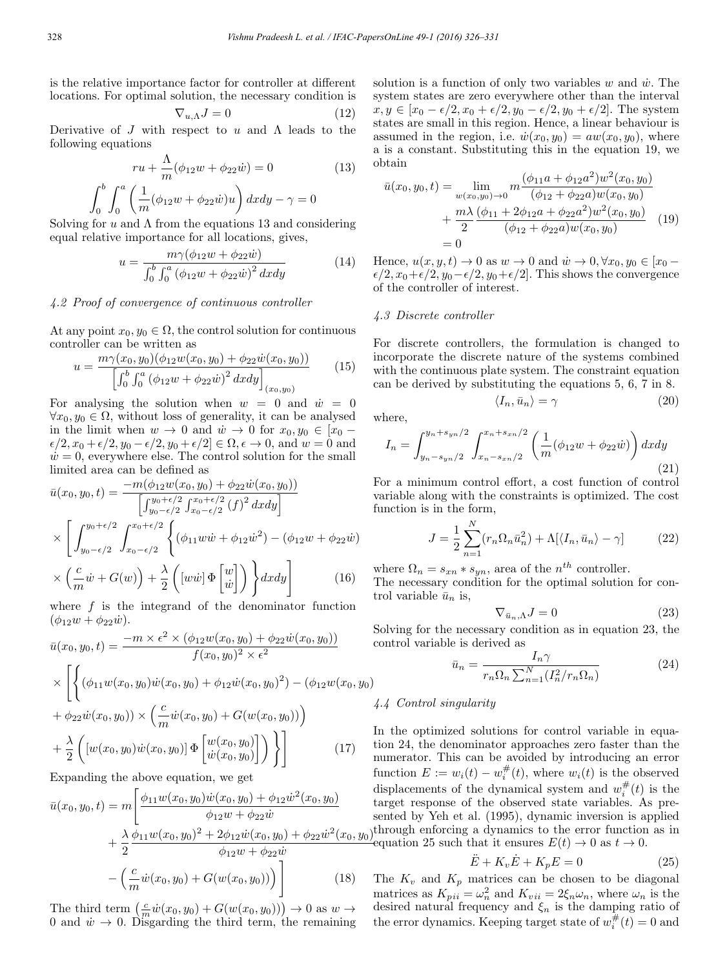is the relative importance factor for controller at different locations. For optimal solution, the necessary condition is

$$
\nabla_{u,\Lambda}J=0\tag{12}
$$

Derivative of J with respect to u and  $\Lambda$  leads to the following equations

$$
ru + \frac{\Lambda}{m}(\phi_{12}w + \phi_{22}w) = 0
$$
 (13)

$$
\int_0^b \int_0^a \left( \frac{1}{m} (\phi_{12}w + \phi_{22}w)u \right) dx dy - \gamma = 0
$$

Solving for  $u$  and  $\Lambda$  from the equations 13 and considering equal relative importance for all locations, gives,

$$
u = \frac{m\gamma(\phi_{12}w + \phi_{22}\dot{w})}{\int_0^b \int_0^a (\phi_{12}w + \phi_{22}\dot{w})^2 dxdy}
$$
(14)

# 4.2 Proof of convergence of continuous controller

At any point  $x_0, y_0 \in \Omega$ , the control solution for continuous controller can be written as

$$
u = \frac{m\gamma(x_0, y_0)(\phi_{12}w(x_0, y_0) + \phi_{22}\dot{w}(x_0, y_0))}{\left[\int_0^b \int_0^a (\phi_{12}w + \phi_{22}\dot{w})^2 dx dy\right]_{(x_0, y_0)}}
$$
(15)

For analysing the solution when  $w = 0$  and  $\dot{w} = 0$  $\forall x_0, y_0 \in \Omega$ , without loss of generality, it can be analysed in the limit when  $w \to 0$  and  $\dot{w} \to 0$  for  $x_0, y_0 \in [x_0 \epsilon/2$ ,  $x_0 + \epsilon/2$ ,  $y_0 - \epsilon/2$ ,  $y_0 + \epsilon/2 \in \Omega$ ,  $\epsilon \to 0$ , and  $w = 0$  and  $\dot{w}=0$ , everywhere else. The control solution for the small limited area can be defined as

$$
\bar{u}(x_0, y_0, t) = \frac{-m(\phi_{12}w(x_0, y_0) + \phi_{22}\dot{w}(x_0, y_0))}{\left[\int_{y_0 - \epsilon/2}^{y_0 + \epsilon/2} \int_{x_0 - \epsilon/2}^{x_0 + \epsilon/2} (f)^2 dx dy\right]}
$$
\n
$$
\times \left[ \int_{y_0 - \epsilon/2}^{y_0 + \epsilon/2} \int_{x_0 - \epsilon/2}^{x_0 + \epsilon/2} \left\{ (\phi_{11}w\dot{w} + \phi_{12}\dot{w}^2) - (\phi_{12}w + \phi_{22}\dot{w}) \right. \right.
$$
\n
$$
\times \left( \frac{c}{m}\dot{w} + G(w) \right) + \frac{\lambda}{2} \left( [w\dot{w}] \Phi \begin{bmatrix} w \\ \dot{w} \end{bmatrix} \right) \right\} dx dy \right]
$$
\n(16)

where f is the integrand of the denominator function  $(\phi_{12}w + \phi_{22}w).$ 

$$
\bar{u}(x_0, y_0, t) = \frac{-m \times \epsilon^2 \times (\phi_{12}w(x_0, y_0) + \phi_{22}\dot{w}(x_0, y_0))}{f(x_0, y_0)^2 \times \epsilon^2}
$$
\n
$$
\times \left[ \left\{ (\phi_{11}w(x_0, y_0)\dot{w}(x_0, y_0) + \phi_{12}\dot{w}(x_0, y_0)^2) - (\phi_{12}w(x_0, y_0) + \phi_{22}\dot{w}(x_0, y_0)) \times \left( \frac{c}{m}\dot{w}(x_0, y_0) + G(w(x_0, y_0)) \right) \right\}
$$
\n
$$
+ \frac{\lambda}{2} \left( \left[ w(x_0, y_0)\dot{w}(x_0, y_0) \right] \Phi \left[ \frac{w(x_0, y_0)}{\dot{w}(x_0, y_0)} \right] \right) \right]
$$
\n
$$
\Gamma
$$

Expanding the above equation, we get

$$
\bar{u}(x_0, y_0, t) = m \left[ \frac{\phi_{11} w(x_0, y_0) \dot{w}(x_0, y_0) + \phi_{12} \dot{w}^2(x_0, y_0)}{\phi_{12} w + \phi_{22} \dot{w}} + \frac{\lambda}{2} \frac{\phi_{11} w(x_0, y_0)^2 + 2\phi_{12} \dot{w}(x_0, y_0) + \phi_{22} \dot{w}^2(x_0, y_0)}{\phi_{12} w + \phi_{22} \dot{w}} - \left( \frac{c}{m} \dot{w}(x_0, y_0) + G(w(x_0, y_0)) \right) \right]
$$
(18)

The third term  $\left(\frac{c}{m}\dot{w}(x_0,y_0) + G(w(x_0,y_0))\right) \to 0$  as  $w \to$ 0 and  $\dot{w} \to 0$ . Disgarding the third term, the remaining solution is a function of only two variables  $w$  and  $\dot{w}$ . The system states are zero everywhere other than the interval  $x, y \in [x_0 - \epsilon/2, x_0 + \epsilon/2, y_0 - \epsilon/2, y_0 + \epsilon/2]$ . The system states are small in this region. Hence, a linear behaviour is assumed in the region, i.e.  $\dot{w}(x_0, y_0) = aw(x_0, y_0)$ , where a is a constant. Substituting this in the equation 19, we obtain

$$
\bar{u}(x_0, y_0, t) = \lim_{w(x_0, y_0) \to 0} m \frac{(\phi_{11}a + \phi_{12}a^2)w^2(x_0, y_0)}{(\phi_{12} + \phi_{22}a)w(x_0, y_0)} \n+ \frac{m\lambda}{2} \frac{(\phi_{11} + 2\phi_{12}a + \phi_{22}a^2)w^2(x_0, y_0)}{(\phi_{12} + \phi_{22}a)w(x_0, y_0)} \tag{19} = 0
$$

Hence,  $u(x, y, t) \rightarrow 0$  as  $w \rightarrow 0$  and  $\dot{w} \rightarrow 0$ ,  $\forall x_0, y_0 \in [x_0 \epsilon/2$ ,  $x_0+\epsilon/2$ ,  $y_0-\epsilon/2$ ,  $y_0+\epsilon/2$ . This shows the convergence of the controller of interest.

### 4.3 Discrete controller

For discrete controllers, the formulation is changed to incorporate the discrete nature of the systems combined with the continuous plate system. The constraint equation can be derived by substituting the equations 5, 6, 7 in 8.

$$
\langle I_n, \bar{u}_n \rangle = \gamma \tag{20}
$$

where,

$$
I_n = \int_{y_n - s_{yn}/2}^{y_n + s_{yn}/2} \int_{x_n - s_{xn}/2}^{x_n + s_{xn}/2} \left( \frac{1}{m} (\phi_{12}w + \phi_{22}w) \right) dx dy
$$
\n(21)

For a minimum control effort, a cost function of control variable along with the constraints is optimized. The cost function is in the form,

$$
J = \frac{1}{2} \sum_{n=1}^{N} (r_n \Omega_n \bar{u}_n^2) + \Lambda [\langle I_n, \bar{u}_n \rangle - \gamma]
$$
 (22)

where  $\Omega_n = s_{xn} * s_{yn}$ , area of the  $n^{th}$  controller.

The necessary condition for the optimal solution for control variable  $\bar{u}_n$  is,

$$
\nabla_{\bar{u}_n,\Lambda} J = 0 \tag{23}
$$

Solving for the necessary condition as in equation 23, the control variable is derived as

$$
\bar{u}_n = \frac{I_n \gamma}{r_n \Omega_n \sum_{n=1}^N (I_n^2 / r_n \Omega_n)}\tag{24}
$$

# 4.4 Control singularity

In the optimized solutions for control variable in equation 24, the denominator approaches zero faster than the numerator. This can be avoided by introducing an error function  $E := w_i(t) - w_i^{\#}(t)$ , where  $w_i(t)$  is the observed displacements of the dynamical system and  $w_i^{\#}(t)$  is the target response of the observed state variables. As presented by Yeh et al. (1995), dynamic inversion is applied through enforcing a dynamics to the error function as in equation 25 such that it ensures  $E(t) \to 0$  as  $t \to 0$ .

$$
\ddot{E} + K_v \dot{E} + K_p E = 0 \tag{25}
$$

The  $K_v$  and  $K_p$  matrices can be chosen to be diagonal matrices as  $K_{pi} = \omega_n^2$  and  $K_{vii} = 2\xi_n \omega_n$ , where  $\omega_n$  is the desired natural frequency and  $\xi_n$  is the damping ratio of the error dynamics. Keeping target state of  $w_i^{\#}(t) = 0$  and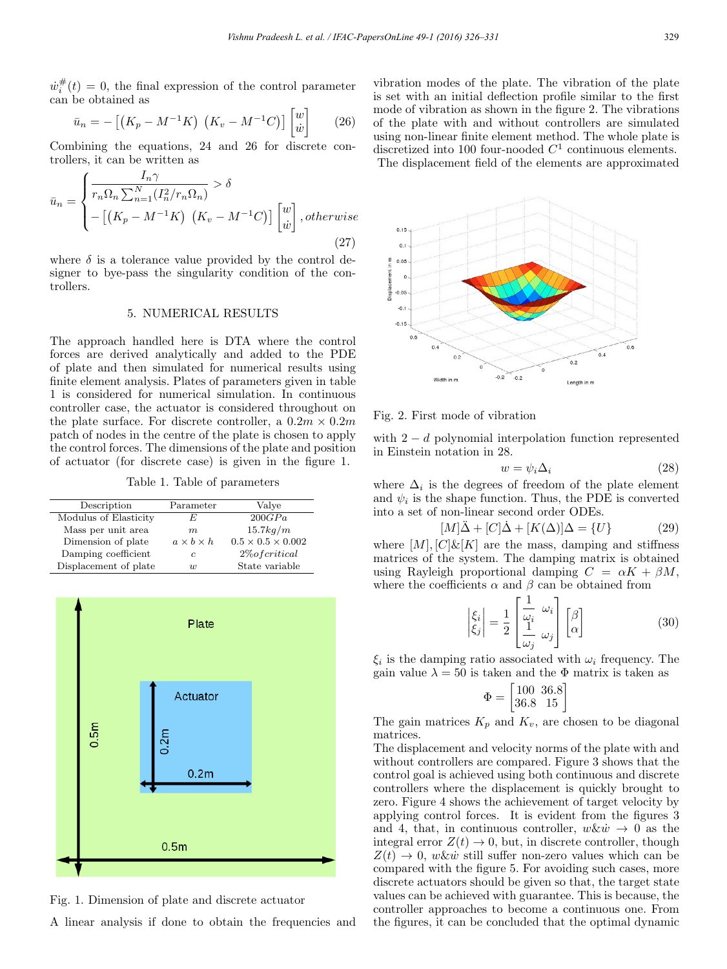$w_i^{\#}(t) = 0$ , the final expression of the control parameter can be obtained as

$$
\bar{u}_n = -\left[ \left( K_p - M^{-1} K \right) \left( K_v - M^{-1} C \right) \right] \begin{bmatrix} w \\ \dot{w} \end{bmatrix} \tag{26}
$$

Combining the equations, 24 and 26 for discrete controllers, it can be written as

$$
\bar{u}_n = \begin{cases}\n\frac{I_n \gamma}{r_n \Omega_n \sum_{n=1}^N (I_n^2 / r_n \Omega_n)} > \delta \\
-\left[ \left( K_p - M^{-1} K \right) \left( K_v - M^{-1} C \right) \right] \begin{bmatrix} w \\ \dot{w} \end{bmatrix}, otherwise\n\end{cases}
$$
\n(27)

where  $\delta$  is a tolerance value provided by the control designer to bye-pass the singularity condition of the controllers.

# 5. NUMERICAL RESULTS

The approach handled here is DTA where the control forces are derived analytically and added to the PDE of plate and then simulated for numerical results using finite element analysis. Plates of parameters given in table 1 is considered for numerical simulation. In continuous controller case, the actuator is considered throughout on the plate surface. For discrete controller, a  $0.2m \times 0.2m$ patch of nodes in the centre of the plate is chosen to apply the control forces. The dimensions of the plate and position of actuator (for discrete case) is given in the figure 1.

Table 1. Table of parameters

| Description           | Parameter             | Valve                         |
|-----------------------|-----------------------|-------------------------------|
| Modulus of Elasticity | F,                    | 200GPa                        |
| Mass per unit area    | m                     | 15.7kg/m                      |
| Dimension of plate    | $a \times b \times h$ | $0.5 \times 0.5 \times 0.002$ |
| Damping coefficient   | c                     | $2\% of critical$             |
| Displacement of plate | $\overline{u}$        | State variable                |



Fig. 1. Dimension of plate and discrete actuator

A linear analysis if done to obtain the frequencies and

vibration modes of the plate. The vibration of the plate is set with an initial deflection profile similar to the first mode of vibration as shown in the figure 2. The vibrations of the plate with and without controllers are simulated using non-linear finite element method. The whole plate is discretized into 100 four-nooded  $C^1$  continuous elements. The displacement field of the elements are approximated



### Fig. 2. First mode of vibration

with  $2 - d$  polynomial interpolation function represented in Einstein notation in 28.

$$
w = \psi_i \Delta_i \tag{28}
$$

where  $\Delta_i$  is the degrees of freedom of the plate element and  $\psi_i$  is the shape function. Thus, the PDE is converted into a set of non-linear second order ODEs.

$$
[M]\ddot{\Delta} + [C]\dot{\Delta} + [K(\Delta)]\Delta = \{U\} \tag{29}
$$

where  $[M], [C] \& [K]$  are the mass, damping and stiffness matrices of the system. The damping matrix is obtained using Rayleigh proportional damping  $C = \alpha K + \beta M$ , where the coefficients  $\alpha$  and  $\beta$  can be obtained from

$$
\begin{vmatrix} \xi_i \\ \xi_j \end{vmatrix} = \frac{1}{2} \begin{bmatrix} \frac{1}{\omega_i} & \omega_i \\ \frac{1}{\omega_j} & \omega_j \end{bmatrix} \begin{bmatrix} \beta \\ \alpha \end{bmatrix}
$$
 (30)

 $\xi_i$  is the damping ratio associated with  $\omega_i$  frequency. The gain value  $\lambda = 50$  is taken and the  $\Phi$  matrix is taken as

$$
\Phi = \begin{bmatrix} 100 & 36.8 \\ 36.8 & 15 \end{bmatrix}
$$

The gain matrices  $K_p$  and  $K_v$ , are chosen to be diagonal matrices.

The displacement and velocity norms of the plate with and without controllers are compared. Figure 3 shows that the control goal is achieved using both continuous and discrete controllers where the displacement is quickly brought to zero. Figure 4 shows the achievement of target velocity by applying control forces. It is evident from the figures 3 and 4, that, in continuous controller,  $w \& \dot{w} \rightarrow 0$  as the integral error  $Z(t) \rightarrow 0$ , but, in discrete controller, though  $Z(t) \rightarrow 0$ , w&w still suffer non-zero values which can be compared with the figure 5. For avoiding such cases, more discrete actuators should be given so that, the target state values can be achieved with guarantee. This is because, the controller approaches to become a continuous one. From the figures, it can be concluded that the optimal dynamic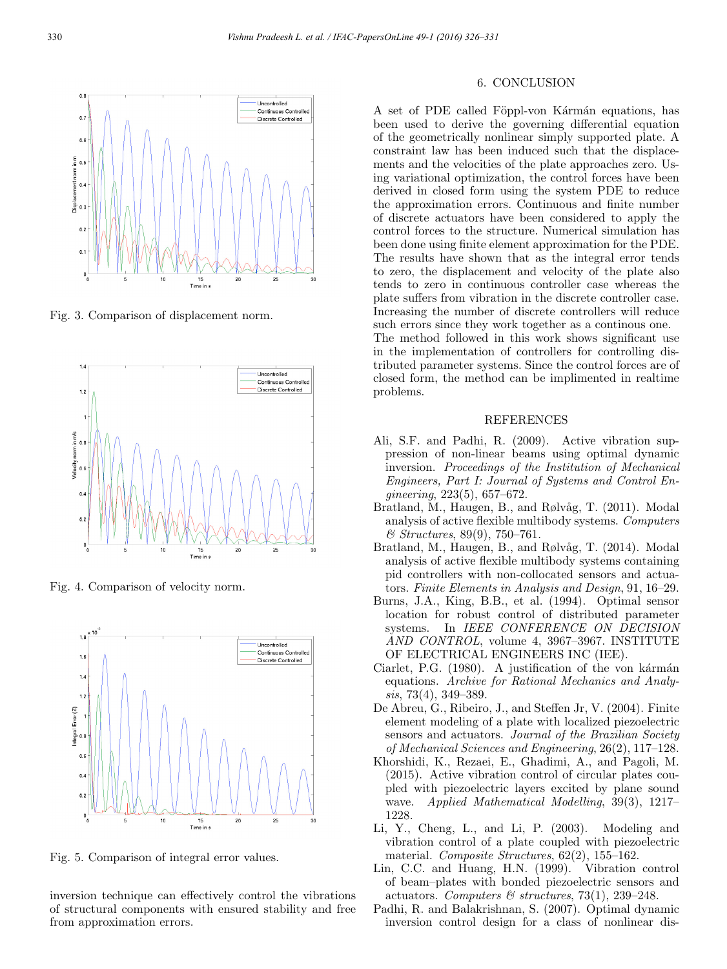

Fig. 3. Comparison of displacement norm.



Fig. 4. Comparison of velocity norm.



Fig. 5. Comparison of integral error values.

inversion technique can effectively control the vibrations of structural components with ensured stability and free from approximation errors.

# 6. CONCLUSION

A set of PDE called Föppl-von Kármán equations, has been used to derive the governing differential equation of the geometrically nonlinear simply supported plate. A constraint law has been induced such that the displacements and the velocities of the plate approaches zero. Using variational optimization, the control forces have been derived in closed form using the system PDE to reduce the approximation errors. Continuous and finite number of discrete actuators have been considered to apply the control forces to the structure. Numerical simulation has been done using finite element approximation for the PDE. The results have shown that as the integral error tends to zero, the displacement and velocity of the plate also tends to zero in continuous controller case whereas the plate suffers from vibration in the discrete controller case. Increasing the number of discrete controllers will reduce such errors since they work together as a continous one. The method followed in this work shows significant use

in the implementation of controllers for controlling distributed parameter systems. Since the control forces are of closed form, the method can be implimented in realtime problems.

# REFERENCES

- Ali, S.F. and Padhi, R. (2009). Active vibration suppression of non-linear beams using optimal dynamic inversion. Proceedings of the Institution of Mechanical Engineers, Part I: Journal of Systems and Control Engineering, 223(5), 657–672.
- Bratland, M., Haugen, B., and Rølvåg, T. (2011). Modal analysis of active flexible multibody systems. Computers & Structures, 89(9), 750–761.
- Bratland, M., Haugen, B., and Rølvåg, T. (2014). Modal analysis of active flexible multibody systems containing pid controllers with non-collocated sensors and actuators. Finite Elements in Analysis and Design, 91, 16–29.
- Burns, J.A., King, B.B., et al. (1994). Optimal sensor location for robust control of distributed parameter systems. In IEEE CONFERENCE ON DECISION AND CONTROL, volume 4, 3967–3967. INSTITUTE OF ELECTRICAL ENGINEERS INC (IEE).
- Ciarlet, P.G. (1980). A justification of the von kármán equations. Archive for Rational Mechanics and Analysis, 73(4), 349–389.
- De Abreu, G., Ribeiro, J., and Steffen Jr, V. (2004). Finite element modeling of a plate with localized piezoelectric sensors and actuators. Journal of the Brazilian Society of Mechanical Sciences and Engineering, 26(2), 117–128.
- Khorshidi, K., Rezaei, E., Ghadimi, A., and Pagoli, M. (2015). Active vibration control of circular plates coupled with piezoelectric layers excited by plane sound wave. Applied Mathematical Modelling, 39(3), 1217– 1228.
- Li, Y., Cheng, L., and Li, P. (2003). Modeling and vibration control of a plate coupled with piezoelectric material. Composite Structures, 62(2), 155–162.
- Lin, C.C. and Huang, H.N. (1999). Vibration control of beam–plates with bonded piezoelectric sensors and actuators. Computers & structures, 73(1), 239-248.
- Padhi, R. and Balakrishnan, S. (2007). Optimal dynamic inversion control design for a class of nonlinear dis-